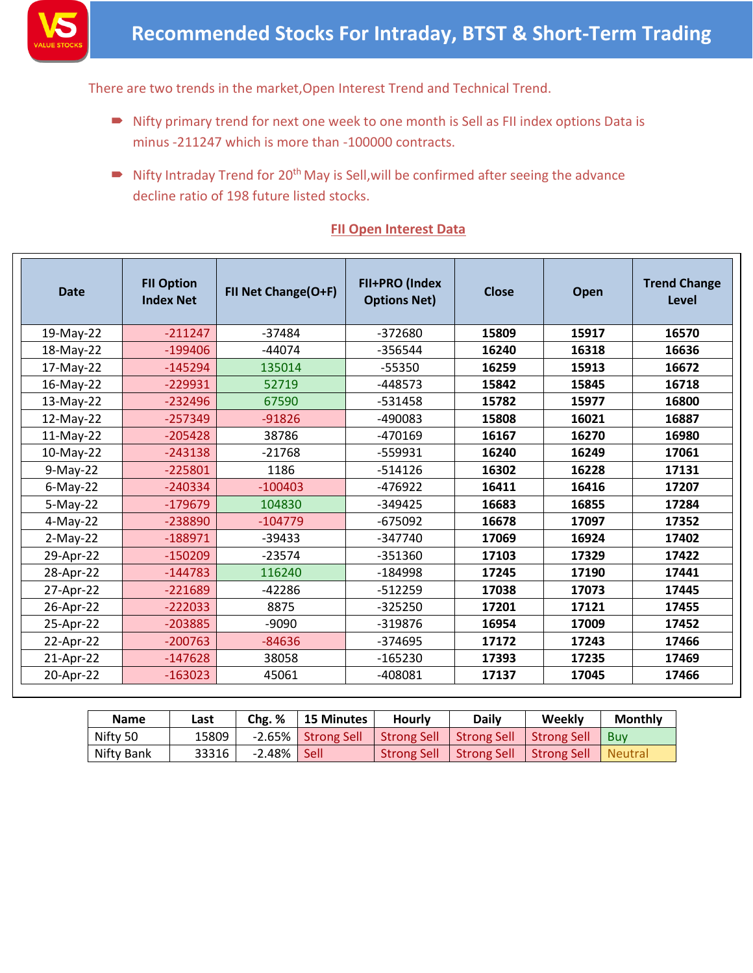

There are two trends in the market,Open Interest Trend and Technical Trend.

- Nifty primary trend for next one week to one month is Sell as FII index options Data is minus -211247 which is more than -100000 contracts.
- Nifty Intraday Trend for  $20<sup>th</sup>$  May is Sell, will be confirmed after seeing the advance decline ratio of 198 future listed stocks.

### **FII Open Interest Data**

| <b>Date</b> | <b>FII Option</b><br><b>Index Net</b> | FII Net Change(O+F) | FII+PRO (Index<br><b>Options Net)</b> | Close | Open  | <b>Trend Change</b><br>Level |
|-------------|---------------------------------------|---------------------|---------------------------------------|-------|-------|------------------------------|
| 19-May-22   | $-211247$                             | $-37484$            | -372680                               | 15809 | 15917 | 16570                        |
| 18-May-22   | $-199406$                             | $-44074$            | -356544                               | 16240 | 16318 | 16636                        |
| 17-May-22   | $-145294$                             | 135014              | $-55350$                              | 16259 | 15913 | 16672                        |
| 16-May-22   | $-229931$                             | 52719               | $-448573$                             | 15842 | 15845 | 16718                        |
| 13-May-22   | $-232496$                             | 67590               | -531458                               | 15782 | 15977 | 16800                        |
| 12-May-22   | $-257349$                             | $-91826$            | -490083                               | 15808 | 16021 | 16887                        |
| 11-May-22   | $-205428$                             | 38786               | -470169                               | 16167 | 16270 | 16980                        |
| 10-May-22   | $-243138$                             | $-21768$            | -559931                               | 16240 | 16249 | 17061                        |
| $9-May-22$  | $-225801$                             | 1186                | $-514126$                             | 16302 | 16228 | 17131                        |
| $6$ -May-22 | $-240334$                             | $-100403$           | $-476922$                             | 16411 | 16416 | 17207                        |
| $5-May-22$  | $-179679$                             | 104830              | -349425                               | 16683 | 16855 | 17284                        |
| $4-May-22$  | -238890                               | $-104779$           | $-675092$                             | 16678 | 17097 | 17352                        |
| $2-May-22$  | $-188971$                             | $-39433$            | -347740                               | 17069 | 16924 | 17402                        |
| 29-Apr-22   | $-150209$                             | $-23574$            | $-351360$                             | 17103 | 17329 | 17422                        |
| 28-Apr-22   | $-144783$                             | 116240              | -184998                               | 17245 | 17190 | 17441                        |
| 27-Apr-22   | $-221689$                             | $-42286$            | $-512259$                             | 17038 | 17073 | 17445                        |
| 26-Apr-22   | $-222033$                             | 8875                | $-325250$                             | 17201 | 17121 | 17455                        |
| 25-Apr-22   | $-203885$                             | $-9090$             | $-319876$                             | 16954 | 17009 | 17452                        |
| 22-Apr-22   | $-200763$                             | $-84636$            | -374695                               | 17172 | 17243 | 17466                        |
| 21-Apr-22   | $-147628$                             | 38058               | $-165230$                             | 17393 | 17235 | 17469                        |
| 20-Apr-22   | $-163023$                             | 45061               | -408081                               | 17137 | 17045 | 17466                        |

| <b>Name</b> | Last  | Chg. % | <b>15 Minutes</b>  | <b>Hourly</b>      | <b>Daily</b>       | Weekly             | <b>Monthly</b> |
|-------------|-------|--------|--------------------|--------------------|--------------------|--------------------|----------------|
| Nifty 50    | 15809 |        | -2.65% Strong Sell | Strong Sell        | <b>Strong Sell</b> | <b>Strong Sell</b> | <b>Buv</b>     |
| Nifty Bank  | 33316 | -2.48% | <b>Sell</b>        | <b>Strong Sell</b> | <b>Strong Sell</b> | <b>Strong Sell</b> | <b>Neutral</b> |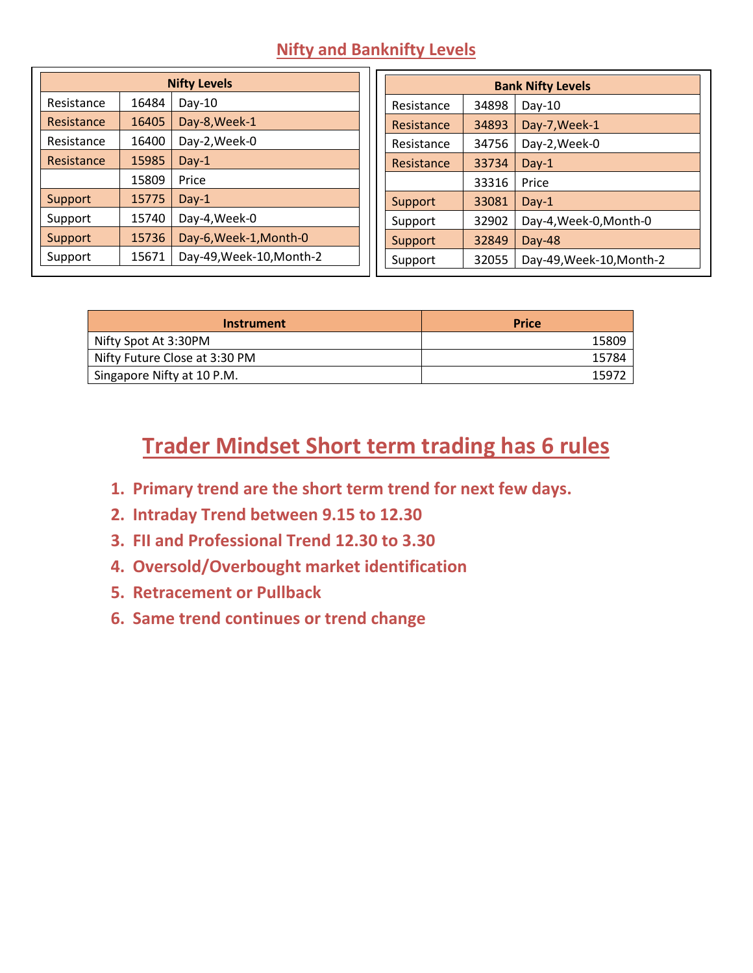#### **Nifty and Banknifty Levels**

|            | <b>Nifty Levels</b> |                          |  |  |  |
|------------|---------------------|--------------------------|--|--|--|
| Resistance | 16484               | $Day-10$                 |  |  |  |
| Resistance | 16405               | Day-8, Week-1            |  |  |  |
| Resistance | 16400               | Day-2, Week-0            |  |  |  |
| Resistance | 15985               | $Day-1$                  |  |  |  |
|            | 15809               | Price                    |  |  |  |
| Support    | 15775               | $Day-1$                  |  |  |  |
| Support    | 15740               | Day-4, Week-0            |  |  |  |
| Support    | 15736               | Day-6, Week-1, Month-0   |  |  |  |
| Support    | 15671               | Day-49, Week-10, Month-2 |  |  |  |

| <b>Bank Nifty Levels</b> |       |                          |  |
|--------------------------|-------|--------------------------|--|
| Resistance               | 34898 | $Day-10$                 |  |
| Resistance               | 34893 | Day-7, Week-1            |  |
| Resistance               | 34756 | Day-2, Week-0            |  |
| Resistance               | 33734 | Day- $1$                 |  |
|                          | 33316 | Price                    |  |
| Support                  | 33081 | $Day-1$                  |  |
| Support                  | 32902 | Day-4, Week-0, Month-0   |  |
| Support                  | 32849 | Day-48                   |  |
| Support                  | 32055 | Day-49, Week-10, Month-2 |  |

| Instrument                    | <b>Price</b> |
|-------------------------------|--------------|
| Nifty Spot At 3:30PM          | 15809        |
| Nifty Future Close at 3:30 PM | 15784        |
| Singapore Nifty at 10 P.M.    | 1597         |

## **Trader Mindset Short term trading has 6 rules**

- **1. Primary trend are the short term trend for next few days.**
- **2. Intraday Trend between 9.15 to 12.30**
- **3. FII and Professional Trend 12.30 to 3.30**
- **4. Oversold/Overbought market identification**
- **5. Retracement or Pullback**
- **6. Same trend continues or trend change**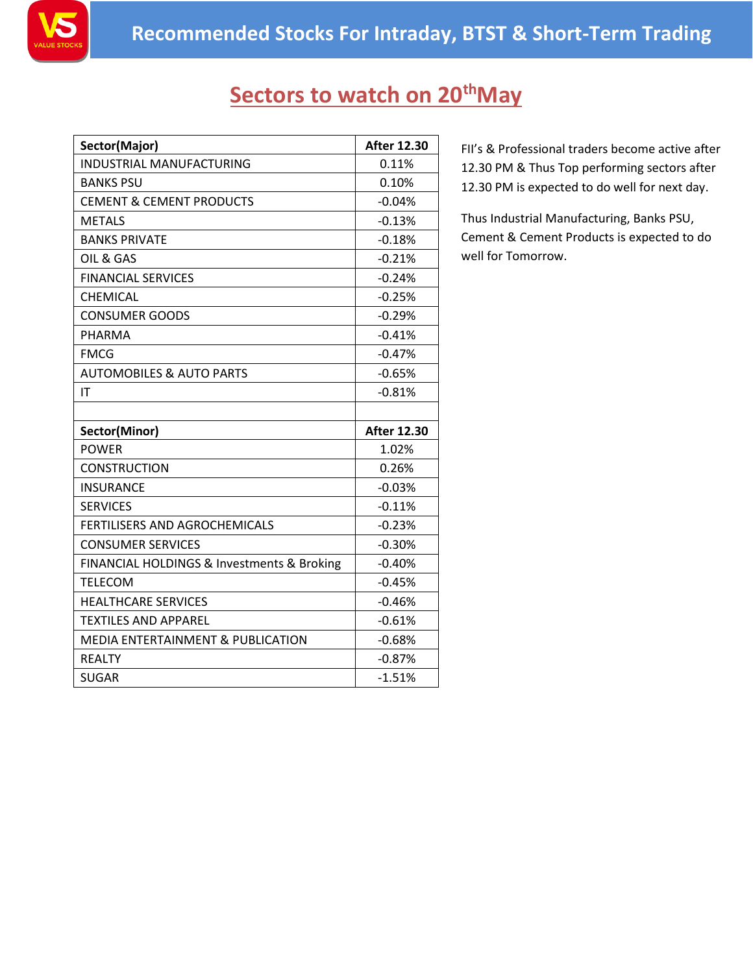

## **Sectors to watch on 20thMay**

| Sector(Major)                                | <b>After 12.30</b> |
|----------------------------------------------|--------------------|
| INDUSTRIAL MANUFACTURING                     | 0.11%              |
| <b>BANKS PSU</b>                             | 0.10%              |
| <b>CEMENT &amp; CEMENT PRODUCTS</b>          | $-0.04%$           |
| <b>METALS</b>                                | $-0.13%$           |
| <b>BANKS PRIVATE</b>                         | $-0.18%$           |
| OIL & GAS                                    | $-0.21%$           |
| <b>FINANCIAL SERVICES</b>                    | $-0.24%$           |
| <b>CHEMICAL</b>                              | $-0.25%$           |
| <b>CONSUMER GOODS</b>                        | $-0.29%$           |
| <b>PHARMA</b>                                | $-0.41%$           |
| <b>FMCG</b>                                  | $-0.47%$           |
| <b>AUTOMOBILES &amp; AUTO PARTS</b>          | $-0.65%$           |
| IT                                           | $-0.81%$           |
|                                              |                    |
| Sector(Minor)                                | <b>After 12.30</b> |
| <b>POWER</b>                                 | 1.02%              |
| CONSTRUCTION                                 | 0.26%              |
| <b>INSURANCE</b>                             | $-0.03%$           |
| <b>SERVICES</b>                              | $-0.11%$           |
| <b>FERTILISERS AND AGROCHEMICALS</b>         | $-0.23%$           |
| <b>CONSUMER SERVICES</b>                     | $-0.30%$           |
| FINANCIAL HOLDINGS & Investments & Broking   | $-0.40%$           |
| <b>TELECOM</b>                               | $-0.45%$           |
| <b>HEALTHCARE SERVICES</b>                   | $-0.46%$           |
| <b>TEXTILES AND APPAREL</b>                  | $-0.61%$           |
| <b>MEDIA ENTERTAINMENT &amp; PUBLICATION</b> | $-0.68%$           |
| <b>REALTY</b>                                | $-0.87%$           |
| <b>SUGAR</b>                                 | $-1.51%$           |

FII's & Professional traders become active after 12.30 PM & Thus Top performing sectors after 12.30 PM is expected to do well for next day.

Thus Industrial Manufacturing, Banks PSU, Cement & Cement Products is expected to do well for Tomorrow.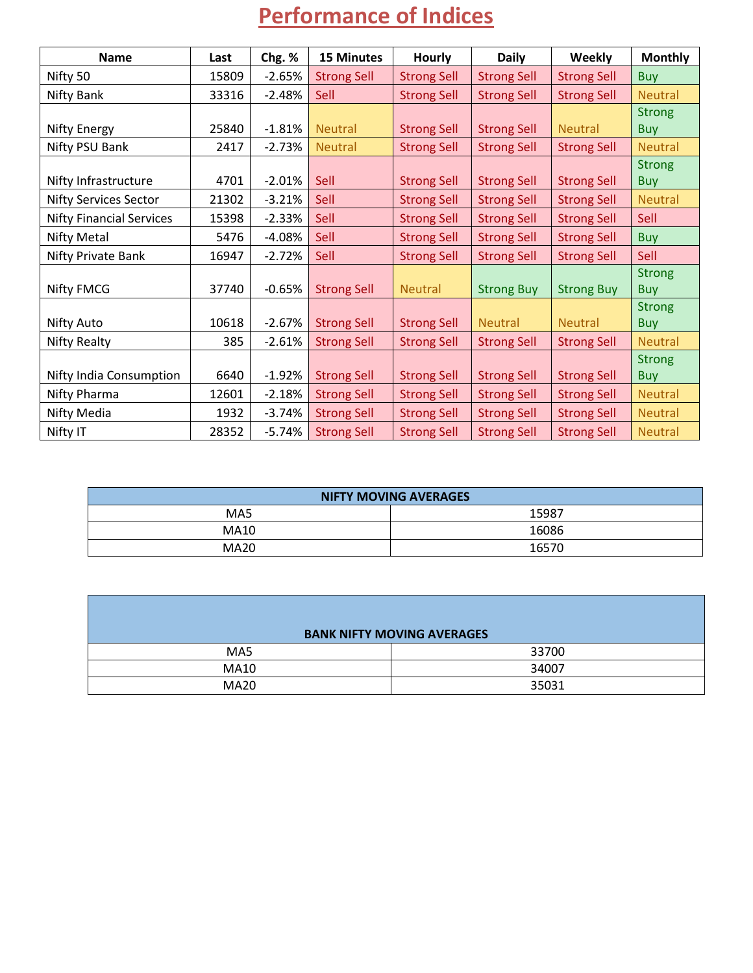# **Performance of Indices**

| <b>Name</b>                     | Last  | Chg. %   | <b>15 Minutes</b>  | <b>Hourly</b>      | <b>Daily</b>       | <b>Weekly</b>      | <b>Monthly</b> |
|---------------------------------|-------|----------|--------------------|--------------------|--------------------|--------------------|----------------|
| Nifty 50                        | 15809 | $-2.65%$ | <b>Strong Sell</b> | <b>Strong Sell</b> | <b>Strong Sell</b> | <b>Strong Sell</b> | <b>Buy</b>     |
| Nifty Bank                      | 33316 | $-2.48%$ | Sell               | <b>Strong Sell</b> | <b>Strong Sell</b> | <b>Strong Sell</b> | <b>Neutral</b> |
|                                 |       |          |                    |                    |                    |                    | <b>Strong</b>  |
| Nifty Energy                    | 25840 | $-1.81%$ | <b>Neutral</b>     | <b>Strong Sell</b> | <b>Strong Sell</b> | <b>Neutral</b>     | <b>Buy</b>     |
| Nifty PSU Bank                  | 2417  | $-2.73%$ | <b>Neutral</b>     | <b>Strong Sell</b> | <b>Strong Sell</b> | <b>Strong Sell</b> | <b>Neutral</b> |
|                                 |       |          |                    |                    |                    |                    | <b>Strong</b>  |
| Nifty Infrastructure            | 4701  | $-2.01%$ | Sell               | <b>Strong Sell</b> | <b>Strong Sell</b> | <b>Strong Sell</b> | <b>Buy</b>     |
| <b>Nifty Services Sector</b>    | 21302 | $-3.21%$ | Sell               | <b>Strong Sell</b> | <b>Strong Sell</b> | <b>Strong Sell</b> | <b>Neutral</b> |
| <b>Nifty Financial Services</b> | 15398 | $-2.33%$ | Sell               | <b>Strong Sell</b> | <b>Strong Sell</b> | <b>Strong Sell</b> | Sell           |
| Nifty Metal                     | 5476  | $-4.08%$ | Sell               | <b>Strong Sell</b> | <b>Strong Sell</b> | <b>Strong Sell</b> | <b>Buy</b>     |
| Nifty Private Bank              | 16947 | $-2.72%$ | Sell               | <b>Strong Sell</b> | <b>Strong Sell</b> | <b>Strong Sell</b> | Sell           |
|                                 |       |          |                    |                    |                    |                    | <b>Strong</b>  |
| <b>Nifty FMCG</b>               | 37740 | $-0.65%$ | <b>Strong Sell</b> | <b>Neutral</b>     | <b>Strong Buy</b>  | <b>Strong Buy</b>  | <b>Buy</b>     |
|                                 |       |          |                    |                    |                    |                    | <b>Strong</b>  |
| <b>Nifty Auto</b>               | 10618 | $-2.67%$ | <b>Strong Sell</b> | <b>Strong Sell</b> | <b>Neutral</b>     | <b>Neutral</b>     | <b>Buy</b>     |
| Nifty Realty                    | 385   | $-2.61%$ | <b>Strong Sell</b> | <b>Strong Sell</b> | <b>Strong Sell</b> | <b>Strong Sell</b> | <b>Neutral</b> |
|                                 |       |          |                    |                    |                    |                    | <b>Strong</b>  |
| Nifty India Consumption         | 6640  | $-1.92%$ | <b>Strong Sell</b> | <b>Strong Sell</b> | <b>Strong Sell</b> | <b>Strong Sell</b> | <b>Buy</b>     |
| Nifty Pharma                    | 12601 | $-2.18%$ | <b>Strong Sell</b> | <b>Strong Sell</b> | <b>Strong Sell</b> | <b>Strong Sell</b> | <b>Neutral</b> |
| Nifty Media                     | 1932  | $-3.74%$ | <b>Strong Sell</b> | <b>Strong Sell</b> | <b>Strong Sell</b> | <b>Strong Sell</b> | <b>Neutral</b> |
| Nifty IT                        | 28352 | $-5.74%$ | <b>Strong Sell</b> | <b>Strong Sell</b> | <b>Strong Sell</b> | <b>Strong Sell</b> | <b>Neutral</b> |

| <b>NIFTY MOVING AVERAGES</b> |       |  |
|------------------------------|-------|--|
| MA5                          | 15987 |  |
| MA10                         | 16086 |  |
| <b>MA20</b>                  | 16570 |  |

|             | <b>BANK NIFTY MOVING AVERAGES</b> |
|-------------|-----------------------------------|
| MA5         | 33700                             |
| <b>MA10</b> | 34007                             |
| <b>MA20</b> | 35031                             |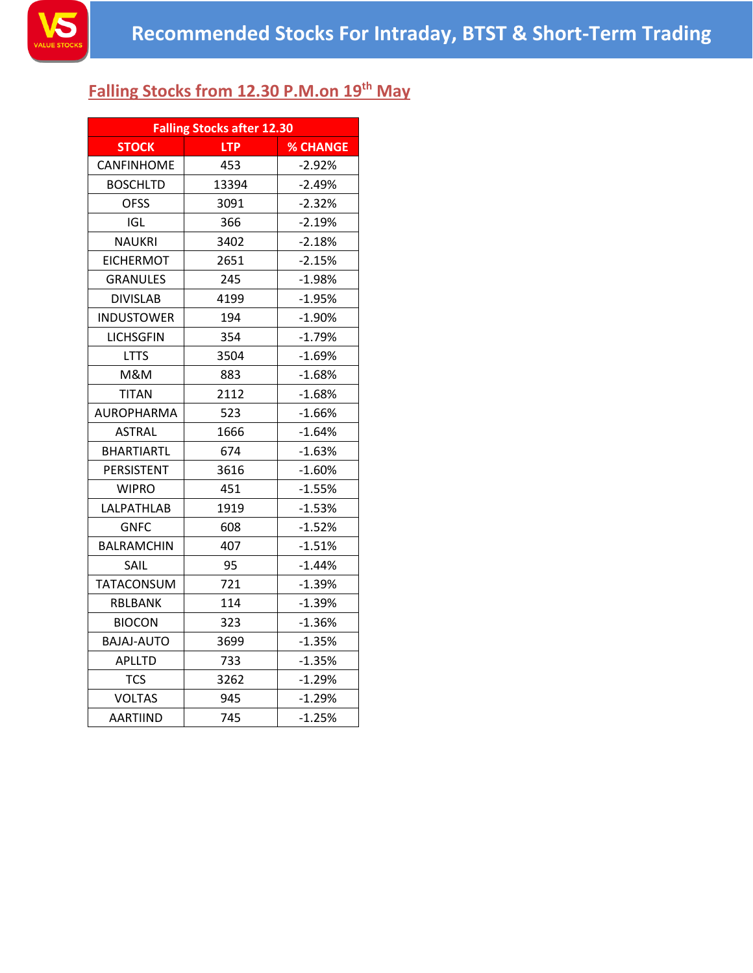

### **Falling Stocks from 12.30 P.M.on 19 th May**

|                   | <b>Falling Stocks after 12.30</b> |                 |  |  |  |
|-------------------|-----------------------------------|-----------------|--|--|--|
| <b>STOCK</b>      | <b>LTP</b>                        | <b>% CHANGE</b> |  |  |  |
| <b>CANFINHOME</b> | 453                               | $-2.92%$        |  |  |  |
| <b>BOSCHLTD</b>   | 13394                             | $-2.49%$        |  |  |  |
| <b>OFSS</b>       | 3091                              | $-2.32%$        |  |  |  |
| <b>IGL</b>        | 366                               | $-2.19%$        |  |  |  |
| <b>NAUKRI</b>     | 3402                              | $-2.18%$        |  |  |  |
| <b>EICHERMOT</b>  | 2651                              | $-2.15%$        |  |  |  |
| <b>GRANULES</b>   | 245                               | $-1.98%$        |  |  |  |
| <b>DIVISLAB</b>   | 4199                              | $-1.95%$        |  |  |  |
| <b>INDUSTOWER</b> | 194                               | $-1.90%$        |  |  |  |
| <b>LICHSGFIN</b>  | 354                               | $-1.79%$        |  |  |  |
| <b>LTTS</b>       | 3504                              | $-1.69%$        |  |  |  |
| M&M               | 883                               | $-1.68%$        |  |  |  |
| <b>TITAN</b>      | 2112                              | $-1.68%$        |  |  |  |
| <b>AUROPHARMA</b> | 523                               | $-1.66%$        |  |  |  |
| <b>ASTRAL</b>     | 1666                              | $-1.64%$        |  |  |  |
| <b>BHARTIARTL</b> | 674                               | $-1.63%$        |  |  |  |
| PERSISTENT        | 3616                              | $-1.60%$        |  |  |  |
| <b>WIPRO</b>      | 451                               | $-1.55%$        |  |  |  |
| LALPATHLAB        | 1919                              | $-1.53%$        |  |  |  |
| <b>GNFC</b>       | 608                               | $-1.52%$        |  |  |  |
| <b>BALRAMCHIN</b> | 407                               | $-1.51%$        |  |  |  |
| SAIL              | 95                                | $-1.44%$        |  |  |  |
| <b>TATACONSUM</b> | 721                               | $-1.39%$        |  |  |  |
| RBLBANK           | 114                               | $-1.39%$        |  |  |  |
| <b>BIOCON</b>     | 323                               | $-1.36%$        |  |  |  |
| <b>BAJAJ-AUTO</b> | 3699                              | $-1.35%$        |  |  |  |
| <b>APLLTD</b>     | 733                               | $-1.35%$        |  |  |  |
| <b>TCS</b>        | 3262                              | $-1.29%$        |  |  |  |
| <b>VOLTAS</b>     | 945                               | $-1.29%$        |  |  |  |
| <b>AARTIIND</b>   | 745                               | $-1.25%$        |  |  |  |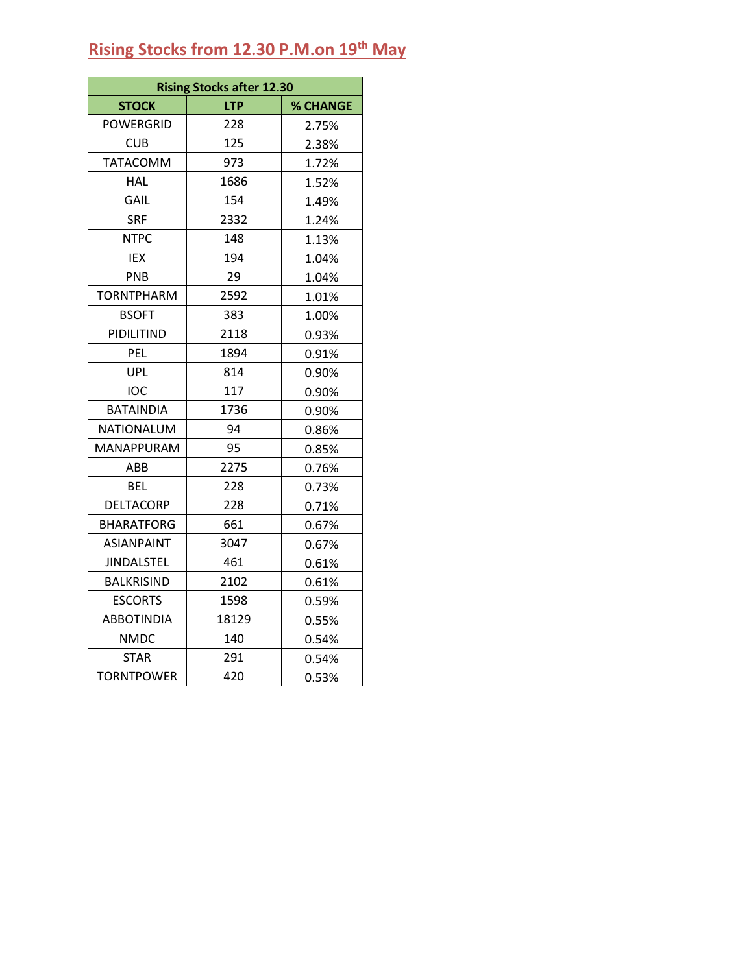### **Rising Stocks from 12.30 P.M.on 19 th May**

|                   | <b>Rising Stocks after 12.30</b> |          |  |  |  |
|-------------------|----------------------------------|----------|--|--|--|
| <b>STOCK</b>      | <b>LTP</b>                       | % CHANGE |  |  |  |
| <b>POWERGRID</b>  | 228                              | 2.75%    |  |  |  |
| <b>CUB</b>        | 125                              | 2.38%    |  |  |  |
| <b>TATACOMM</b>   | 973                              | 1.72%    |  |  |  |
| <b>HAL</b>        | 1686                             | 1.52%    |  |  |  |
| GAIL              | 154                              | 1.49%    |  |  |  |
| <b>SRF</b>        | 2332                             | 1.24%    |  |  |  |
| <b>NTPC</b>       | 148                              | 1.13%    |  |  |  |
| IEX               | 194                              | 1.04%    |  |  |  |
| PNB               | 29                               | 1.04%    |  |  |  |
| <b>TORNTPHARM</b> | 2592                             | 1.01%    |  |  |  |
| <b>BSOFT</b>      | 383                              | 1.00%    |  |  |  |
| PIDILITIND        | 2118                             | 0.93%    |  |  |  |
| PEL               | 1894                             | 0.91%    |  |  |  |
| UPL               | 814                              | 0.90%    |  |  |  |
| <b>IOC</b>        | 117                              | 0.90%    |  |  |  |
| <b>BATAINDIA</b>  | 1736                             | 0.90%    |  |  |  |
| NATIONALUM        | 94                               | 0.86%    |  |  |  |
| MANAPPURAM        | 95                               | 0.85%    |  |  |  |
| ABB               | 2275                             | 0.76%    |  |  |  |
| BEL               | 228                              | 0.73%    |  |  |  |
| <b>DELTACORP</b>  | 228                              | 0.71%    |  |  |  |
| <b>BHARATFORG</b> | 661                              | 0.67%    |  |  |  |
| ASIANPAINT        | 3047                             | 0.67%    |  |  |  |
| <b>JINDALSTEL</b> | 461                              | 0.61%    |  |  |  |
| <b>BALKRISIND</b> | 2102                             | 0.61%    |  |  |  |
| <b>ESCORTS</b>    | 1598                             | 0.59%    |  |  |  |
| <b>ABBOTINDIA</b> | 18129                            | 0.55%    |  |  |  |
| <b>NMDC</b>       | 140                              | 0.54%    |  |  |  |
| STAR              | 291                              | 0.54%    |  |  |  |
| <b>TORNTPOWER</b> | 420                              | 0.53%    |  |  |  |